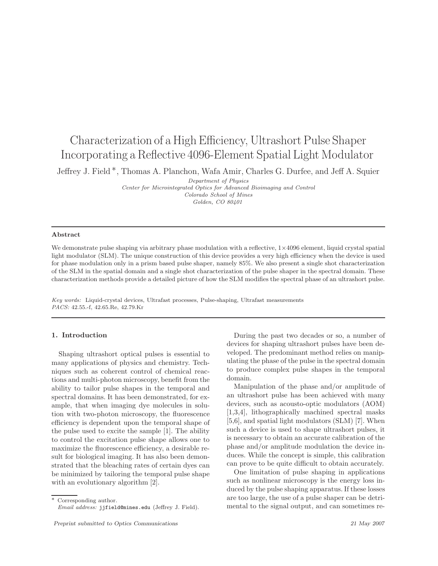# Characterization of a High Efficiency, Ultrashort Pulse Shaper Incorporating a Reflective 4096-Element Spatial Light Modulator

Jeffrey J. Field<sup>\*</sup>, Thomas A. Planchon, Wafa Amir, Charles G. Durfee, and Jeff A. Squier

Department of Physics

Center for Microintegrated Optics for Advanced Bioimaging and Control Colorado School of Mines Golden, CO 80401

#### Abstract

We demonstrate pulse shaping via arbitrary phase modulation with a reflective,  $1\times4096$  element, liquid crystal spatial light modulator (SLM). The unique construction of this device provides a very high efficiency when the device is used for phase modulation only in a prism based pulse shaper, namely 85%. We also present a single shot characterization of the SLM in the spatial domain and a single shot characterization of the pulse shaper in the spectral domain. These characterization methods provide a detailed picture of how the SLM modifies the spectral phase of an ultrashort pulse.

Key words: Liquid-crystal devices, Ultrafast processes, Pulse-shaping, Ultrafast measurements PACS: 42.55.-f, 42.65.Re, 42.79.Kr

## 1. Introduction

Shaping ultrashort optical pulses is essential to many applications of physics and chemistry. Techniques such as coherent control of chemical reactions and multi-photon microscopy, benefit from the ability to tailor pulse shapes in the temporal and spectral domains. It has been demonstrated, for example, that when imaging dye molecules in solution with two-photon microscopy, the fluorescence efficiency is dependent upon the temporal shape of the pulse used to excite the sample [1]. The ability to control the excitation pulse shape allows one to maximize the fluorescence efficiency, a desirable result for biological imaging. It has also been demonstrated that the bleaching rates of certain dyes can be minimized by tailoring the temporal pulse shape with an evolutionary algorithm [2].

During the past two decades or so, a number of devices for shaping ultrashort pulses have been developed. The predominant method relies on manipulating the phase of the pulse in the spectral domain to produce complex pulse shapes in the temporal domain.

Manipulation of the phase and/or amplitude of an ultrashort pulse has been achieved with many devices, such as acousto-optic modulators (AOM) [1,3,4], lithographically machined spectral masks [5,6], and spatial light modulators (SLM) [7]. When such a device is used to shape ultrashort pulses, it is necessary to obtain an accurate calibration of the phase and/or amplitude modulation the device induces. While the concept is simple, this calibration can prove to be quite difficult to obtain accurately.

One limitation of pulse shaping in applications such as nonlinear microscopy is the energy loss induced by the pulse shaping apparatus. If these losses are too large, the use of a pulse shaper can be detrimental to the signal output, and can sometimes re-

<sup>∗</sup> Corresponding author. Email address: jjfield@mines.edu (Jeffrey J. Field).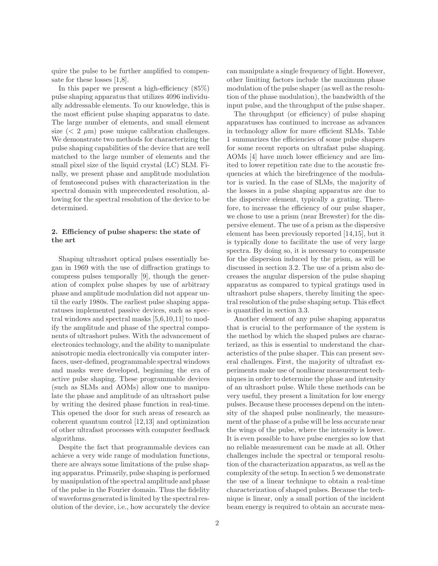quire the pulse to be further amplified to compensate for these losses [1,8].

In this paper we present a high-efficiency (85%) pulse shaping apparatus that utilizes 4096 individually addressable elements. To our knowledge, this is the most efficient pulse shaping apparatus to date. The large number of elements, and small element size  $(< 2 \mu m)$  pose unique calibration challenges. We demonstrate two methods for characterizing the pulse shaping capabilities of the device that are well matched to the large number of elements and the small pixel size of the liquid crystal (LC) SLM. Finally, we present phase and amplitude modulation of femtosecond pulses with characterization in the spectral domain with unprecedented resolution, allowing for the spectral resolution of the device to be determined.

## 2. Efficiency of pulse shapers: the state of the art

Shaping ultrashort optical pulses essentially began in 1969 with the use of diffraction gratings to compress pulses temporally [9], though the generation of complex pulse shapes by use of arbitrary phase and amplitude modulation did not appear until the early 1980s. The earliest pulse shaping apparatuses implemented passive devices, such as spectral windows and spectral masks [5,6,10,11] to modify the amplitude and phase of the spectral components of ultrashort pulses. With the advancement of electronics technology, and the ability to manipulate anisotropic media electronically via computer interfaces, user-defined, programmable spectral windows and masks were developed, beginning the era of active pulse shaping. These programmable devices (such as SLMs and AOMs) allow one to manipulate the phase and amplitude of an ultrashort pulse by writing the desired phase function in real-time. This opened the door for such areas of research as coherent quantum control [12,13] and optimization of other ultrafast processes with computer feedback algorithms.

Despite the fact that programmable devices can achieve a very wide range of modulation functions, there are always some limitations of the pulse shaping apparatus. Primarily, pulse shaping is performed by manipulation of the spectral amplitude and phase of the pulse in the Fourier domain. Thus the fidelity of waveforms generated is limited by the spectral resolution of the device, i.e., how accurately the device can manipulate a single frequency of light. However, other limiting factors include the maximum phase modulation of the pulse shaper (as well as the resolution of the phase modulation), the bandwidth of the input pulse, and the throughput of the pulse shaper.

The throughput (or efficiency) of pulse shaping apparatuses has continued to increase as advances in technology allow for more efficient SLMs. Table 1 summarizes the efficiencies of some pulse shapers for some recent reports on ultrafast pulse shaping. AOMs [4] have much lower efficiency and are limited to lower repetition rate due to the acoustic frequencies at which the birefringence of the modulator is varied. In the case of SLMs, the majority of the losses in a pulse shaping apparatus are due to the dispersive element, typically a grating. Therefore, to increase the efficiency of our pulse shaper, we chose to use a prism (near Brewster) for the dispersive element. The use of a prism as the dispersive element has been previously reported [14,15], but it is typically done to facilitate the use of very large spectra. By doing so, it is necessary to compensate for the dispersion induced by the prism, as will be discussed in section 3.2. The use of a prism also decreases the angular dispersion of the pulse shaping apparatus as compared to typical gratings used in ultrashort pulse shapers, thereby limiting the spectral resolution of the pulse shaping setup. This effect is quantified in section 3.3.

Another element of any pulse shaping apparatus that is crucial to the performance of the system is the method by which the shaped pulses are characterized, as this is essential to understand the characteristics of the pulse shaper. This can present several challenges. First, the majority of ultrafast experiments make use of nonlinear measurement techniques in order to determine the phase and intensity of an ultrashort pulse. While these methods can be very useful, they present a limitation for low energy pulses. Because these processes depend on the intensity of the shaped pulse nonlinearly, the measurement of the phase of a pulse will be less accurate near the wings of the pulse, where the intensity is lower. It is even possible to have pulse energies so low that no reliable measurement can be made at all. Other challenges include the spectral or temporal resolution of the characterization apparatus, as well as the complexity of the setup. In section 5 we demonstrate the use of a linear technique to obtain a real-time characterization of shaped pulses. Because the technique is linear, only a small portion of the incident beam energy is required to obtain an accurate mea-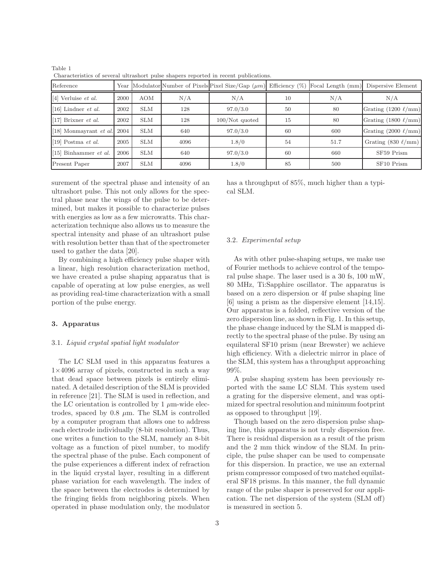| Reference                     |      |            |      | Year Modulator Number of Pixels Pixel Size/Gap $(\mu m)$ Efficiency (%) Focal Length (mm) Dispersive Element |    |      |                           |
|-------------------------------|------|------------|------|--------------------------------------------------------------------------------------------------------------|----|------|---------------------------|
| $[4]$ Verluise <i>et al.</i>  | 2000 | AOM        | N/A  | N/A                                                                                                          | 10 | N/A  | N/A                       |
| [16] Lindner $et$ al.         | 2002 | <b>SLM</b> | 128  | 97.0/3.0                                                                                                     | 50 | 80   | Grating (1200 $\ell$ /mm) |
| [17] Brixner <i>et al.</i>    | 2002 | <b>SLM</b> | 128  | $100/N$ ot quoted                                                                                            | 15 | 80   | Grating (1800 $\ell$ /mm) |
| [18] Monmayrant <i>et al.</i> | 2004 | <b>SLM</b> | 640  | 97.0/3.0                                                                                                     | 60 | 600  | Grating (2000 $\ell$ /mm) |
| [19] Postma $et$ al.          | 2005 | <b>SLM</b> | 4096 | 1.8/0                                                                                                        | 54 | 51.7 | Grating (830 $\ell$ /mm)  |
| [15] Binhammer $et$ al.       | 2006 | <b>SLM</b> | 640  | 97.0/3.0                                                                                                     | 60 | 660  | SF59 Prism                |
| Present Paper                 | 2007 | <b>SLM</b> | 4096 | 1.8/0                                                                                                        | 85 | 500  | SF10 Prism                |

Table 1 Characteristics of several ultrashort pulse shapers reported in recent publications.

surement of the spectral phase and intensity of an ultrashort pulse. This not only allows for the spectral phase near the wings of the pulse to be determined, but makes it possible to characterize pulses with energies as low as a few microwatts. This characterization technique also allows us to measure the spectral intensity and phase of an ultrashort pulse with resolution better than that of the spectrometer used to gather the data [20].

By combining a high efficiency pulse shaper with a linear, high resolution characterization method, we have created a pulse shaping apparatus that is capable of operating at low pulse energies, as well as providing real-time characterization with a small portion of the pulse energy.

## 3. Apparatus

## 3.1. Liquid crystal spatial light modulator

The LC SLM used in this apparatus features a  $1\times4096$  array of pixels, constructed in such a way that dead space between pixels is entirely eliminated. A detailed description of the SLM is provided in reference [21]. The SLM is used in reflection, and the LC orientation is controlled by 1  $\mu$ m-wide electrodes, spaced by  $0.8 \mu$ m. The SLM is controlled by a computer program that allows one to address each electrode individually (8-bit resolution). Thus, one writes a function to the SLM, namely an 8-bit voltage as a function of pixel number, to modify the spectral phase of the pulse. Each component of the pulse experiences a different index of refraction in the liquid crystal layer, resulting in a different phase variation for each wavelength. The index of the space between the electrodes is determined by the fringing fields from neighboring pixels. When operated in phase modulation only, the modulator

has a throughput of 85%, much higher than a typical SLM.

#### 3.2. Experimental setup

As with other pulse-shaping setups, we make use of Fourier methods to achieve control of the temporal pulse shape. The laser used is a 30 fs, 100 mW, 80 MHz, Ti:Sapphire oscillator. The apparatus is based on a zero dispersion or 4f pulse shaping line [6] using a prism as the dispersive element [14,15]. Our apparatus is a folded, reflective version of the zero dispersion line, as shown in Fig. 1. In this setup, the phase change induced by the SLM is mapped directly to the spectral phase of the pulse. By using an equilateral SF10 prism (near Brewster) we achieve high efficiency. With a dielectric mirror in place of the SLM, this system has a throughput approaching 99%.

A pulse shaping system has been previously reported with the same LC SLM. This system used a grating for the dispersive element, and was optimized for spectral resolution and minimum footprint as opposed to throughput [19].

Though based on the zero dispersion pulse shaping line, this apparatus is not truly dispersion free. There is residual dispersion as a result of the prism and the 2 mm thick window of the SLM. In principle, the pulse shaper can be used to compensate for this dispersion. In practice, we use an external prism compressor composed of two matched equilateral SF18 prisms. In this manner, the full dynamic range of the pulse shaper is preserved for our application. The net dispersion of the system (SLM off) is measured in section 5.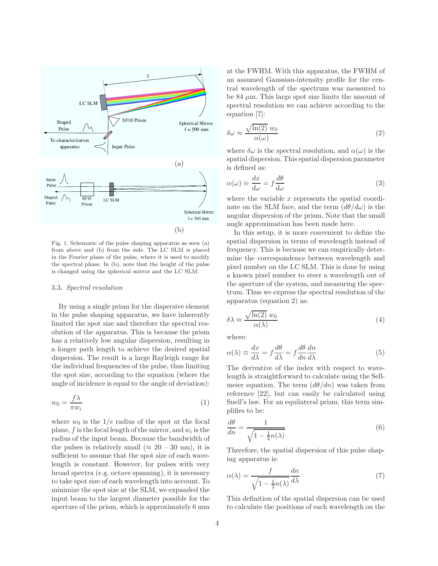

Fig. 1. Schematic of the pulse shaping apparatus as seen (a) from above and (b) from the side. The LC SLM is placed in the Fourier plane of the pulse, where it is used to modify the spectral phase. In (b), note that the height of the pulse is changed using the spherical mirror and the LC SLM.

#### 3.3. Spectral resolution

By using a single prism for the dispersive element in the pulse shaping apparatus, we have inherently limited the spot size and therefore the spectral resolution of the apparatus. This is because the prism has a relatively low angular dispersion, resulting in a longer path length to achieve the desired spatial dispersion. The result is a large Rayleigh range for the individual frequencies of the pulse, thus limiting the spot size, according to the equation (where the angle of incidence is equal to the angle of deviation):

$$
w_0 = \frac{f\lambda}{\pi w_i} \tag{1}
$$

where  $w_0$  is the  $1/e$  radius of the spot at the focal plane,  $f$  is the focal length of the mirror, and  $w_i$  is the radius of the input beam. Because the bandwidth of the pulses is relatively small ( $\approx 20 - 30$  nm), it is sufficient to assume that the spot size of each wavelength is constant. However, for pulses with very broad spectra (e.g. octave spanning), it is necessary to take spot size of each wavelength into account. To minimize the spot size at the SLM, we expanded the input beam to the largest diameter possible for the aperture of the prism, which is approximately 6 mm

at the FWHM. With this apparatus, the FWHM of an assumed Gaussian-intensity profile for the central wavelength of the spectrum was measured to be 84  $\mu$ m. This large spot size limits the amount of spectral resolution we can achieve according to the equation [7]:

$$
\delta\omega \approx \frac{\sqrt{\ln(2)} w_0}{\alpha(\omega)}\tag{2}
$$

where  $\delta\omega$  is the spectral resolution, and  $\alpha(\omega)$  is the spatial dispersion. This spatial dispersion parameter is defined as:

$$
\alpha(\omega) \equiv \frac{dx}{d\omega} = f \frac{d\theta}{d\omega} \tag{3}
$$

where the variable  $x$  represents the spatial coordinate on the SLM face, and the term  $(d\theta/d\omega)$  is the angular dispersion of the prism. Note that the small angle approximation has been made here.

In this setup, it is more convenient to define the spatial dispersion in terms of wavelength instead of frequency. This is because we can empirically determine the correspondence between wavelength and pixel number on the LC SLM. This is done by using a known pixel number to steer a wavelength out of the aperture of the system, and measuring the spectrum. Thus we express the spectral resolution of the apparatus (equation 2) as:

$$
\delta\lambda \approx \frac{\sqrt{\ln(2)}\ w_0}{\alpha(\lambda)}\tag{4}
$$

where:

$$
\alpha(\lambda) \equiv \frac{dx}{d\lambda} = f \frac{d\theta}{d\lambda} = f \frac{d\theta}{dn} \frac{dn}{d\lambda}
$$
 (5)

The derivative of the index with respect to wavelength is straightforward to calculate using the Sellmeier equation. The term  $(d\theta/dn)$  was taken from reference [22], but can easily be calculated using Snell's law. For an equilateral prism, this term simplifies to be:

$$
\frac{d\theta}{dn} = \frac{1}{\sqrt{1 - \frac{1}{2}n(\lambda)}}\tag{6}
$$

Therefore, the spatial dispersion of this pulse shaping apparatus is:

$$
\alpha(\lambda) = \frac{f}{\sqrt{1 - \frac{1}{2}n(\lambda)}} \frac{dn}{d\lambda} \tag{7}
$$

This definition of the spatial dispersion can be used to calculate the positions of each wavelength on the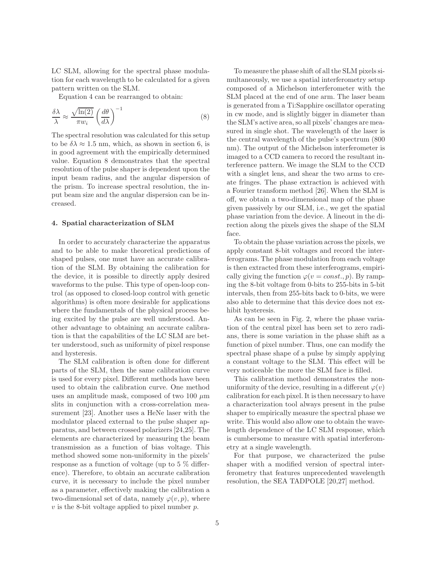LC SLM, allowing for the spectral phase modulation for each wavelength to be calculated for a given pattern written on the SLM.

Equation 4 can be rearranged to obtain:

$$
\frac{\delta \lambda}{\lambda} \approx \frac{\sqrt{\ln(2)}}{\pi w_i} \left(\frac{d\theta}{d\lambda}\right)^{-1} \tag{8}
$$

The spectral resolution was calculated for this setup to be  $\delta\lambda \approx 1.5$  nm, which, as shown in section 6, is in good agreement with the empirically determined value. Equation 8 demonstrates that the spectral resolution of the pulse shaper is dependent upon the input beam radius, and the angular dispersion of the prism. To increase spectral resolution, the input beam size and the angular dispersion can be increased.

## 4. Spatial characterization of SLM

In order to accurately characterize the apparatus and to be able to make theoretical predictions of shaped pulses, one must have an accurate calibration of the SLM. By obtaining the calibration for the device, it is possible to directly apply desired waveforms to the pulse. This type of open-loop control (as opposed to closed-loop control with genetic algorithms) is often more desirable for applications where the fundamentals of the physical process being excited by the pulse are well understood. Another advantage to obtaining an accurate calibration is that the capabilities of the LC SLM are better understood, such as uniformity of pixel response and hysteresis.

The SLM calibration is often done for different parts of the SLM, then the same calibration curve is used for every pixel. Different methods have been used to obtain the calibration curve. One method uses an amplitude mask, composed of two 100  $\mu$ m slits in conjunction with a cross-correlation measurement [23]. Another uses a HeNe laser with the modulator placed external to the pulse shaper apparatus, and between crossed polarizers [24,25]. The elements are characterized by measuring the beam transmission as a function of bias voltage. This method showed some non-uniformity in the pixels' response as a function of voltage (up to 5 % difference). Therefore, to obtain an accurate calibration curve, it is necessary to include the pixel number as a parameter, effectively making the calibration a two-dimensional set of data, namely  $\varphi(v, p)$ , where  $v$  is the 8-bit voltage applied to pixel number  $p$ .

To measure the phase shift of all the SLM pixels simultaneously, we use a spatial interferometry setup composed of a Michelson interferometer with the SLM placed at the end of one arm. The laser beam is generated from a Ti:Sapphire oscillator operating in cw mode, and is slightly bigger in diameter than the SLM's active area, so all pixels' changes are measured in single shot. The wavelength of the laser is the central wavelength of the pulse's spectrum (800 nm). The output of the Michelson interferometer is imaged to a CCD camera to record the resultant interference pattern. We image the SLM to the CCD with a singlet lens, and shear the two arms to create fringes. The phase extraction is achieved with a Fourier transform method [26]. When the SLM is off, we obtain a two-dimensional map of the phase given passively by our SLM, i.e., we get the spatial phase variation from the device. A lineout in the direction along the pixels gives the shape of the SLM face.

To obtain the phase variation across the pixels, we apply constant 8-bit voltages and record the interferograms. The phase modulation from each voltage is then extracted from these interferograms, empirically giving the function  $\varphi(v = const., p)$ . By ramping the 8-bit voltage from 0-bits to 255-bits in 5-bit intervals, then from 255-bits back to 0-bits, we were also able to determine that this device does not exhibit hysteresis.

As can be seen in Fig. 2, where the phase variation of the central pixel has been set to zero radians, there is some variation in the phase shift as a function of pixel number. Thus, one can modify the spectral phase shape of a pulse by simply applying a constant voltage to the SLM. This effect will be very noticeable the more the SLM face is filled.

This calibration method demonstrates the nonuniformity of the device, resulting in a different  $\varphi(v)$ calibration for each pixel. It is then necessary to have a characterization tool always present in the pulse shaper to empirically measure the spectral phase we write. This would also allow one to obtain the wavelength dependence of the LC SLM response, which is cumbersome to measure with spatial interferometry at a single wavelength.

For that purpose, we characterized the pulse shaper with a modified version of spectral interferometry that features unprecedented wavelength resolution, the SEA TADPOLE [20,27] method.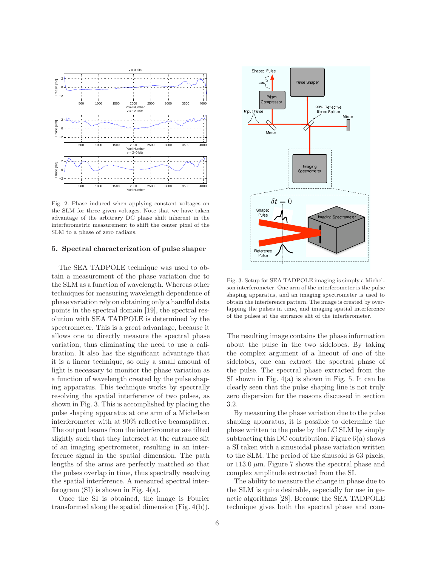

Fig. 2. Phase induced when applying constant voltages on the SLM for three given voltages. Note that we have taken advantage of the arbitrary DC phase shift inherent in the interferometric measurement to shift the center pixel of the SLM to a phase of zero radians.

## 5. Spectral characterization of pulse shaper

The SEA TADPOLE technique was used to obtain a measurement of the phase variation due to the SLM as a function of wavelength. Whereas other techniques for measuring wavelength dependence of phase variation rely on obtaining only a handful data points in the spectral domain [19], the spectral resolution with SEA TADPOLE is determined by the spectrometer. This is a great advantage, because it allows one to directly measure the spectral phase variation, thus eliminating the need to use a calibration. It also has the significant advantage that it is a linear technique, so only a small amount of light is necessary to monitor the phase variation as a function of wavelength created by the pulse shaping apparatus. This technique works by spectrally resolving the spatial interference of two pulses, as shown in Fig. 3. This is accomplished by placing the pulse shaping apparatus at one arm of a Michelson interferometer with at 90% reflective beamsplitter. The output beams from the interferometer are tilted slightly such that they intersect at the entrance slit of an imaging spectrometer, resulting in an interference signal in the spatial dimension. The path lengths of the arms are perfectly matched so that the pulses overlap in time, thus spectrally resolving the spatial interference. A measured spectral interferogram  $(SI)$  is shown in Fig. 4(a).

Once the SI is obtained, the image is Fourier transformed along the spatial dimension (Fig. 4(b)).



Fig. 3. Setup for SEA TADPOLE imaging is simply a Michelson interferometer. One arm of the interferometer is the pulse shaping apparatus, and an imaging spectrometer is used to obtain the interference pattern. The image is created by overlapping the pulses in time, and imaging spatial interference of the pulses at the entrance slit of the interferometer.

The resulting image contains the phase information about the pulse in the two sidelobes. By taking the complex argument of a lineout of one of the sidelobes, one can extract the spectral phase of the pulse. The spectral phase extracted from the SI shown in Fig.  $4(a)$  is shown in Fig. 5. It can be clearly seen that the pulse shaping line is not truly zero dispersion for the reasons discussed in section 3.2.

By measuring the phase variation due to the pulse shaping apparatus, it is possible to determine the phase written to the pulse by the LC SLM by simply subtracting this DC contribution. Figure  $6(a)$  shows a SI taken with a sinusoidal phase variation written to the SLM. The period of the sinusoid is 63 pixels, or 113.0  $\mu$ m. Figure 7 shows the spectral phase and complex amplitude extracted from the SI.

The ability to measure the change in phase due to the SLM is quite desirable, especially for use in genetic algorithms [28]. Because the SEA TADPOLE technique gives both the spectral phase and com-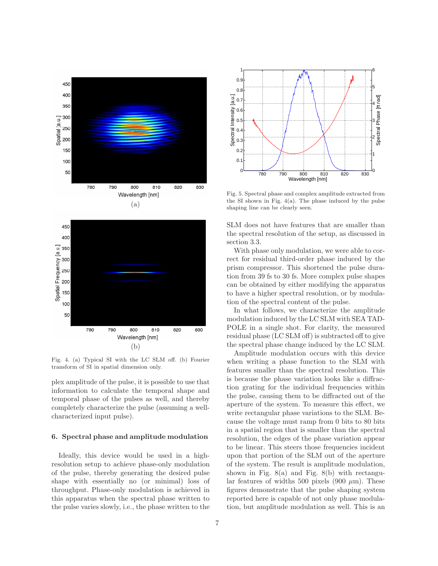

Fig. 4. (a) Typical SI with the LC SLM off. (b) Fourier transform of SI in spatial dimension only.

plex amplitude of the pulse, it is possible to use that information to calculate the temporal shape and temporal phase of the pulses as well, and thereby completely characterize the pulse (assuming a wellcharacterized input pulse).

## 6. Spectral phase and amplitude modulation

Ideally, this device would be used in a highresolution setup to achieve phase-only modulation of the pulse, thereby generating the desired pulse shape with essentially no (or minimal) loss of throughput. Phase-only modulation is achieved in this apparatus when the spectral phase written to the pulse varies slowly, i.e., the phase written to the



Fig. 5. Spectral phase and complex amplitude extracted from the SI shown in Fig. 4(a). The phase induced by the pulse shaping line can be clearly seen.

SLM does not have features that are smaller than the spectral resolution of the setup, as discussed in section 3.3.

With phase only modulation, we were able to correct for residual third-order phase induced by the prism compressor. This shortened the pulse duration from 39 fs to 30 fs. More complex pulse shapes can be obtained by either modifying the apparatus to have a higher spectral resolution, or by modulation of the spectral content of the pulse.

In what follows, we characterize the amplitude modulation induced by the LC SLM with SEA TAD-POLE in a single shot. For clarity, the measured residual phase (LC SLM off) is subtracted off to give the spectral phase change induced by the LC SLM.

Amplitude modulation occurs with this device when writing a phase function to the SLM with features smaller than the spectral resolution. This is because the phase variation looks like a diffraction grating for the individual frequencies within the pulse, causing them to be diffracted out of the aperture of the system. To measure this effect, we write rectangular phase variations to the SLM. Because the voltage must ramp from 0 bits to 80 bits in a spatial region that is smaller than the spectral resolution, the edges of the phase variation appear to be linear. This steers those frequencies incident upon that portion of the SLM out of the aperture of the system. The result is amplitude modulation, shown in Fig.  $8(a)$  and Fig.  $8(b)$  with rectangular features of widths 500 pixels (900  $\mu$ m). These figures demonstrate that the pulse shaping system reported here is capable of not only phase modulation, but amplitude modulation as well. This is an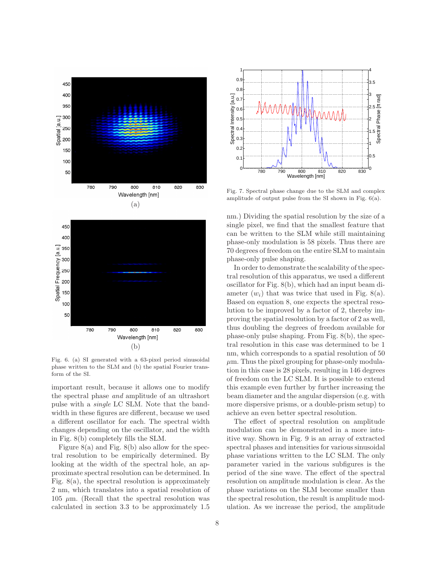

Fig. 6. (a) SI generated with a 63-pixel period sinusoidal phase written to the SLM and (b) the spatial Fourier transform of the SI.

important result, because it allows one to modify the spectral phase and amplitude of an ultrashort pulse with a single LC SLM. Note that the bandwidth in these figures are different, because we used a different oscillator for each. The spectral width changes depending on the oscillator, and the width in Fig. 8(b) completely fills the SLM.

Figure  $8(a)$  and Fig.  $8(b)$  also allow for the spectral resolution to be empirically determined. By looking at the width of the spectral hole, an approximate spectral resolution can be determined. In Fig. 8(a), the spectral resolution is approximately 2 nm, which translates into a spatial resolution of 105  $\mu$ m. (Recall that the spectral resolution was calculated in section 3.3 to be approximately 1.5



Fig. 7. Spectral phase change due to the SLM and complex amplitude of output pulse from the SI shown in Fig. 6(a).

nm.) Dividing the spatial resolution by the size of a single pixel, we find that the smallest feature that can be written to the SLM while still maintaining phase-only modulation is 58 pixels. Thus there are 70 degrees of freedom on the entire SLM to maintain phase-only pulse shaping.

In order to demonstrate the scalability of the spectral resolution of this apparatus, we used a different oscillator for Fig. 8(b), which had an input beam diameter  $(w_i)$  that was twice that used in Fig. 8(a). Based on equation 8, one expects the spectral resolution to be improved by a factor of 2, thereby improving the spatial resolution by a factor of 2 as well, thus doubling the degrees of freedom available for phase-only pulse shaping. From Fig. 8(b), the spectral resolution in this case was determined to be 1 nm, which corresponds to a spatial resolution of 50  $\mu$ m. Thus the pixel grouping for phase-only modulation in this case is 28 pixels, resulting in 146 degrees of freedom on the LC SLM. It is possible to extend this example even further by further increasing the beam diameter and the angular dispersion (e.g. with more dispersive prisms, or a double-prism setup) to achieve an even better spectral resolution.

The effect of spectral resolution on amplitude modulation can be demonstrated in a more intuitive way. Shown in Fig. 9 is an array of extracted spectral phases and intensities for various sinusoidal phase variations written to the LC SLM. The only parameter varied in the various subfigures is the period of the sine wave. The effect of the spectral resolution on amplitude modulation is clear. As the phase variations on the SLM become smaller than the spectral resolution, the result is amplitude modulation. As we increase the period, the amplitude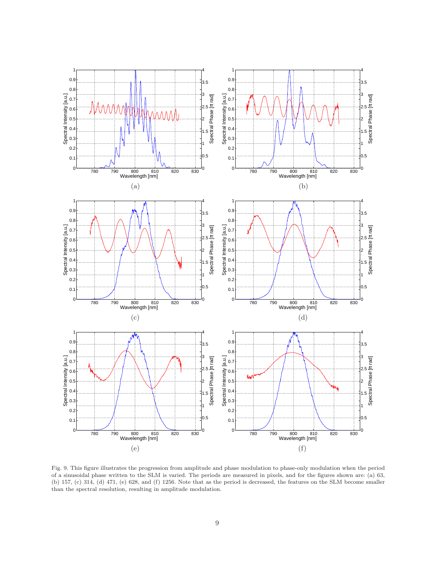

Fig. 9. This figure illustrates the progression from amplitude and phase modulation to phase-only modulation when the period of a sinusoidal phase written to the SLM is varied. The periods are measured in pixels, and for the figures shown are: (a) 63, (b) 157, (c) 314, (d) 471, (e) 628, and (f) 1256. Note that as the period is decreased, the features on the SLM become smaller than the spectral resolution, resulting in amplitude modulation.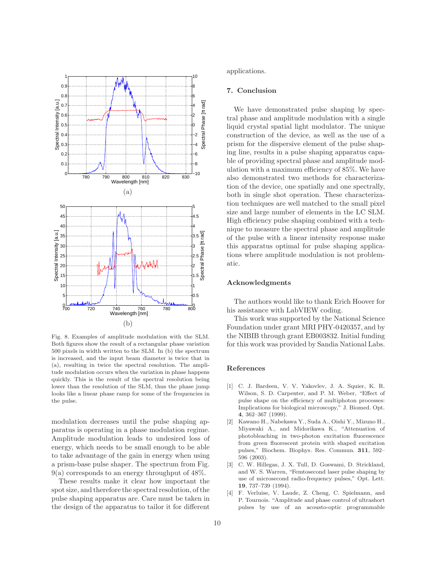

Fig. 8. Examples of amplitude modulation with the SLM. Both figures show the result of a rectangular phase variation 500 pixels in width written to the SLM. In (b) the spectrum is increased, and the input beam diameter is twice that in (a), resulting in twice the spectral resolution. The amplitude modulation occurs when the variation in phase happens quickly. This is the result of the spectral resolution being lower than the resolution of the SLM, thus the phase jump looks like a linear phase ramp for some of the frequencies in the pulse.

modulation decreases until the pulse shaping apparatus is operating in a phase modulation regime. Amplitude modulation leads to undesired loss of energy, which needs to be small enough to be able to take advantage of the gain in energy when using a prism-base pulse shaper. The spectrum from Fig. 9(a) corresponds to an energy throughput of 48%.

These results make it clear how important the spot size, and therefore the spectral resolution, of the pulse shaping apparatus are. Care must be taken in the design of the apparatus to tailor it for different

applications.

## 7. Conclusion

We have demonstrated pulse shaping by spectral phase and amplitude modulation with a single liquid crystal spatial light modulator. The unique construction of the device, as well as the use of a prism for the dispersive element of the pulse shaping line, results in a pulse shaping apparatus capable of providing spectral phase and amplitude modulation with a maximum efficiency of 85%. We have also demonstrated two methods for characterization of the device, one spatially and one spectrally, both in single shot operation. These characterization techniques are well matched to the small pixel size and large number of elements in the LC SLM. High efficiency pulse shaping combined with a technique to measure the spectral phase and amplitude of the pulse with a linear intensity response make this apparatus optimal for pulse shaping applications where amplitude modulation is not problematic.

## Acknowledgments

The authors would like to thank Erich Hoover for his assistance with LabVIEW coding.

This work was supported by the National Science Foundation under grant MRI PHY-0420357, and by the NIBIB through grant EB003832. Initial funding for this work was provided by Sandia National Labs.

## References

- [1] C. J. Bardeen, V. V. Yakovlev, J. A. Squier, K. R. Wilson, S. D. Carpenter, and P. M. Weber, "Effect of pulse shape on the efficiency of multiphoton processes: Implications for biological microscopy," J. Biomed. Opt. 4, 362–367 (1999).
- [2] Kawano H., Nabekawa Y., Suda A., Oishi Y., Mizuno H., Miyawaki A., and Midorikawa K., "Attenuation of photobleaching in two-photon excitation fluorescence from green fluorescent protein with shaped excitation pulses," Biochem. Biophys. Res. Commun. 311, 592– 596 (2003).
- [3] C. W. Hillegas, J. X. Tull, D. Goswami, D. Strickland, and W. S. Warren, "Femtosecond laser pulse shaping by use of microsecond radio-frequency pulses," Opt. Lett. 19, 737–739 (1994).
- [4] F. Verluise, V. Laude, Z. Cheng, C. Spielmann, and P. Tournois. "Amplitude and phase control of ultrashort pulses by use of an acousto-optic programmable